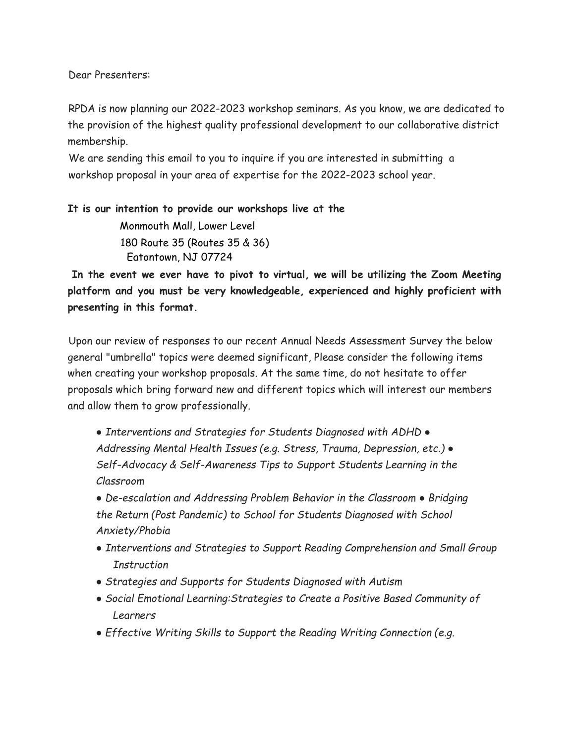Dear Presenters:

RPDA is now planning our 2022-2023 workshop seminars. As you know, we are dedicated to the provision of the highest quality professional development to our collaborative district membership.

We are sending this email to you to inquire if you are interested in submitting a workshop proposal in your area of expertise for the 2022-2023 school year.

**It is our intention to provide our workshops live at the** Monmouth Mall, Lower Level 180 Route 35 (Routes 35 & 36) Eatontown, NJ 07724

**In the event we ever have to pivot to virtual, we will be utilizing the Zoom Meeting platform and you must be very knowledgeable, experienced and highly proficient with presenting in this format.**

Upon our review of responses to our recent Annual Needs Assessment Survey the below general "umbrella" topics were deemed significant, Please consider the following items when creating your workshop proposals. At the same time, do not hesitate to offer proposals which bring forward new and different topics which will interest our members and allow them to grow professionally.

*● Interventions and Strategies for Students Diagnosed with ADHD ● Addressing Mental Health Issues (e.g. Stress, Trauma, Depression, etc.) ● Self-Advocacy & Self-Awareness Tips to Support Students Learning in the Classroom*

*● De-escalation and Addressing Problem Behavior in the Classroom ● Bridging the Return (Post Pandemic) to School for Students Diagnosed with School Anxiety/Phobia*

- *● Interventions and Strategies to Support Reading Comprehension and Small Group Instruction*
- *● Strategies and Supports for Students Diagnosed with Autism*
- *● Social Emotional Learning:Strategies to Create a Positive Based Community of Learners*
- *● Effective Writing Skills to Support the Reading Writing Connection (e.g.*